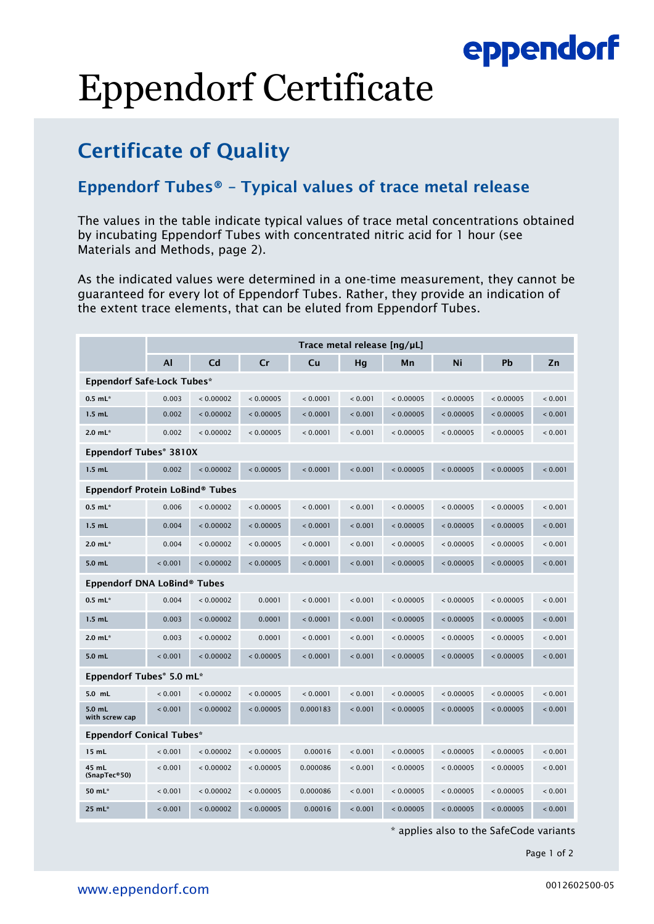### eppendorf

# Eppendorf Certificate

### Certificate of Quality

#### Eppendorf Tubes® – Typical values of trace metal release

The values in the table indicate typical values of trace metal concentrations obtained by incubating Eppendorf Tubes with concentrated nitric acid for 1 hour (see Materials and Methods, page 2).

As the indicated values were determined in a one-time measurement, they cannot be guaranteed for every lot of Eppendorf Tubes. Rather, they provide an indication of the extent trace elements, that can be eluted from Eppendorf Tubes.

|                                   | Trace metal release [ng/µL] |           |           |          |         |           |           |           |         |  |  |
|-----------------------------------|-----------------------------|-----------|-----------|----------|---------|-----------|-----------|-----------|---------|--|--|
|                                   | Al                          | Cd        | Cr        | Cu       | Hg      | Mn        | Ni        | Pb        | Zn      |  |  |
| <b>Eppendorf Safe-Lock Tubes*</b> |                             |           |           |          |         |           |           |           |         |  |  |
| $0.5$ mL $*$                      | 0.003                       | < 0.00002 | < 0.00005 | < 0.0001 | < 0.001 | < 0.00005 | < 0.00005 | < 0.00005 | < 0.001 |  |  |
| $1.5$ mL                          | 0.002                       | < 0.00002 | < 0.00005 | < 0.0001 | < 0.001 | < 0.00005 | < 0.00005 | < 0.00005 | < 0.001 |  |  |
| $2.0 \, \text{mL}^*$              | 0.002                       | < 0.00002 | < 0.00005 | < 0.0001 | < 0.001 | < 0.00005 | < 0.00005 | < 0.00005 | < 0.001 |  |  |
| <b>Eppendorf Tubes® 3810X</b>     |                             |           |           |          |         |           |           |           |         |  |  |
| $1.5$ mL                          | 0.002                       | < 0.00002 | < 0.00005 | < 0.0001 | < 0.001 | < 0.00005 | < 0.00005 | < 0.00005 | < 0.001 |  |  |
| Eppendorf Protein LoBind® Tubes   |                             |           |           |          |         |           |           |           |         |  |  |
| $0.5$ mL*                         | 0.006                       | < 0.00002 | < 0.00005 | < 0.0001 | < 0.001 | < 0.00005 | < 0.00005 | < 0.00005 | < 0.001 |  |  |
| $1.5$ mL                          | 0.004                       | < 0.00002 | < 0.00005 | < 0.0001 | < 0.001 | < 0.00005 | < 0.00005 | < 0.00005 | < 0.001 |  |  |
| $2.0 \text{ mL}$ *                | 0.004                       | < 0.00002 | < 0.00005 | < 0.0001 | < 0.001 | < 0.00005 | < 0.00005 | < 0.00005 | < 0.001 |  |  |
| $5.0$ mL                          | < 0.001                     | < 0.00002 | < 0.00005 | < 0.0001 | < 0.001 | < 0.00005 | < 0.00005 | < 0.00005 | < 0.001 |  |  |
| Eppendorf DNA LoBind® Tubes       |                             |           |           |          |         |           |           |           |         |  |  |
| $0.5$ mL <sup>*</sup>             | 0.004                       | < 0.00002 | 0.0001    | < 0.0001 | < 0.001 | < 0.00005 | < 0.00005 | < 0.00005 | < 0.001 |  |  |
| $1.5$ mL                          | 0.003                       | < 0.00002 | 0.0001    | < 0.0001 | < 0.001 | < 0.00005 | < 0.00005 | < 0.00005 | < 0.001 |  |  |
| $2.0 \text{ mL}$ *                | 0.003                       | < 0.00002 | 0.0001    | < 0.0001 | < 0.001 | < 0.00005 | < 0.00005 | < 0.00005 | < 0.001 |  |  |
| $5.0$ mL                          | < 0.001                     | < 0.00002 | < 0.00005 | < 0.0001 | < 0.001 | < 0.00005 | < 0.00005 | < 0.00005 | < 0.001 |  |  |
| Eppendorf Tubes® 5.0 mL*          |                             |           |           |          |         |           |           |           |         |  |  |
| 5.0 mL                            | < 0.001                     | < 0.00002 | < 0.00005 | < 0.0001 | < 0.001 | < 0.00005 | < 0.00005 | < 0.00005 | < 0.001 |  |  |
| 5.0 mL<br>with screw cap          | < 0.001                     | < 0.00002 | < 0.00005 | 0.000183 | < 0.001 | < 0.00005 | < 0.00005 | < 0.00005 | < 0.001 |  |  |
| <b>Eppendorf Conical Tubes*</b>   |                             |           |           |          |         |           |           |           |         |  |  |
| 15 mL                             | < 0.001                     | < 0.00002 | < 0.00005 | 0.00016  | < 0.001 | < 0.00005 | < 0.00005 | < 0.00005 | < 0.001 |  |  |
| 45 mL<br>(SnapTec®50)             | < 0.001                     | < 0.00002 | < 0.00005 | 0.000086 | < 0.001 | < 0.00005 | < 0.00005 | < 0.00005 | < 0.001 |  |  |
| 50 mL*                            | < 0.001                     | < 0.00002 | < 0.00005 | 0.000086 | < 0.001 | < 0.00005 | < 0.00005 | < 0.00005 | < 0.001 |  |  |
| 25 mL*                            | < 0.001                     | < 0.00002 | < 0.00005 | 0.00016  | < 0.001 | < 0.00005 | < 0.00005 | < 0.00005 | < 0.001 |  |  |

\* applies also to the SafeCode variants

Page 1 of 2